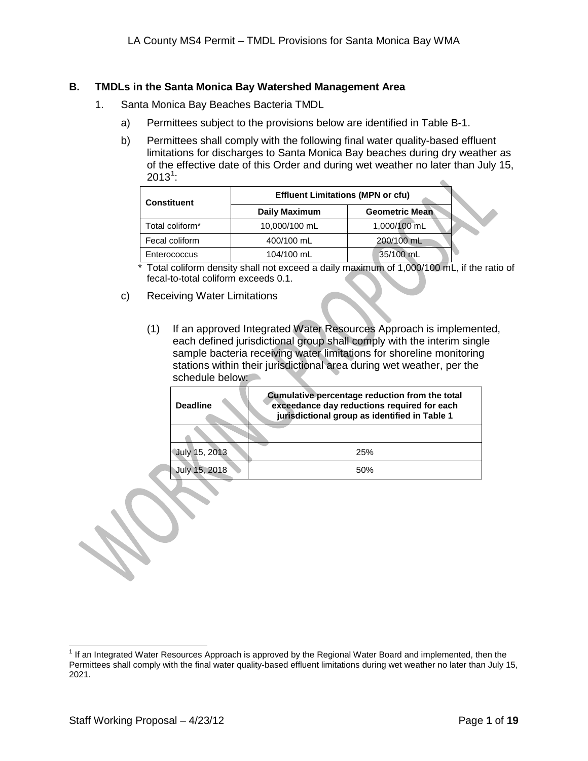## **B. TMDLs in the Santa Monica Bay Watershed Management Area**

- 1. Santa Monica Bay Beaches Bacteria TMDL
	- a) Permittees subject to the provisions below are identified in Table B-1.
	- b) Permittees shall comply with the following final water quality-based effluent limitations for discharges to Santa Monica Bay beaches during dry weather as of the effective date of this Order and during wet weather no later than July 15,  $2013^1$  $2013^1$  $2013^1$ :  $\triangle$

| <b>Constituent</b> | <b>Effluent Limitations (MPN or cfu)</b> |                       |  |  |
|--------------------|------------------------------------------|-----------------------|--|--|
|                    | <b>Daily Maximum</b>                     | <b>Geometric Mean</b> |  |  |
| Total coliform*    | 10,000/100 mL                            | 1,000/100 mL          |  |  |
| Fecal coliform     | 200/100 mL<br>400/100 mL                 |                       |  |  |
| Enterococcus       | 104/100 mL                               | 35/100 mL             |  |  |

\* Total coliform density shall not exceed a daily maximum of 1,000/100 mL, if the ratio of fecal-to-total coliform exceeds 0.1.

- c) Receiving Water Limitations
	- (1) If an approved Integrated Water Resources Approach is implemented, each defined jurisdictional group shall comply with the interim single sample bacteria receiving water limitations for shoreline monitoring stations within their jurisdictional area during wet weather, per the schedule below:

| <b>Deadline</b> | Cumulative percentage reduction from the total<br>exceedance day reductions required for each<br>jurisdictional group as identified in Table 1 |
|-----------------|------------------------------------------------------------------------------------------------------------------------------------------------|
|                 |                                                                                                                                                |
| July 15, 2013   | 25%                                                                                                                                            |
| July 15, 2018   | 50%                                                                                                                                            |

<span id="page-0-1"></span><span id="page-0-0"></span> $1$  If an Integrated Water Resources Approach is approved by the Regional Water Board and implemented, then the Permittees shall comply with the final water quality-based effluent limitations during wet weather no later than July 15, 2021.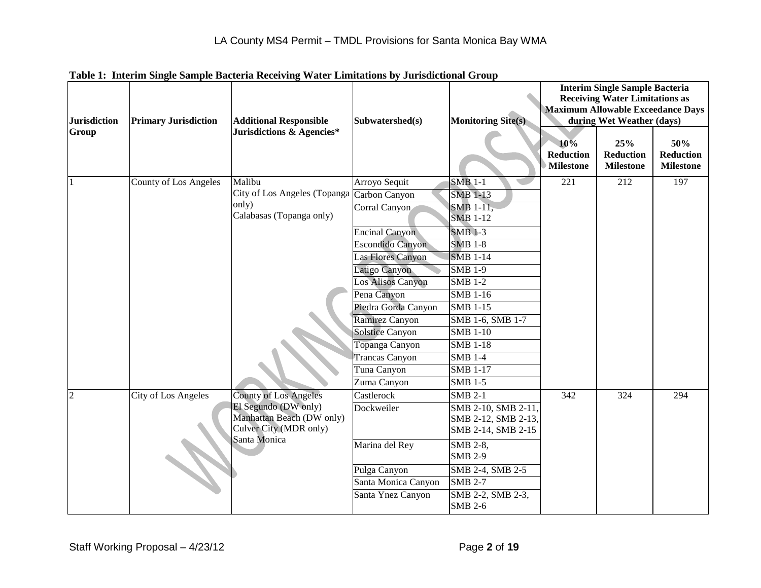| <b>Jurisdiction</b> | <b>Primary Jurisdiction</b> | <b>Additional Responsible</b>                       | Subwatershed(s)        | <b>Monitoring Site(s)</b>  |                                             | <b>Interim Single Sample Bacteria</b><br><b>Receiving Water Limitations as</b><br><b>Maximum Allowable Exceedance Days</b><br>during Wet Weather (days) |                                      |
|---------------------|-----------------------------|-----------------------------------------------------|------------------------|----------------------------|---------------------------------------------|---------------------------------------------------------------------------------------------------------------------------------------------------------|--------------------------------------|
| Group               |                             | Jurisdictions & Agencies*                           |                        |                            | 10%<br><b>Reduction</b><br><b>Milestone</b> | 25%<br><b>Reduction</b><br><b>Milestone</b>                                                                                                             | 50%<br>Reduction<br><b>Milestone</b> |
|                     | County of Los Angeles       | Malibu                                              | Arroyo Sequit          | <b>SMB 1-1</b>             | 221                                         | 212                                                                                                                                                     | 197                                  |
|                     |                             | City of Los Angeles (Topanga                        | Carbon Canyon          | <b>SMB 1-13</b>            |                                             |                                                                                                                                                         |                                      |
|                     |                             | only)                                               | Corral Canyon          | SMB 1-11,                  |                                             |                                                                                                                                                         |                                      |
|                     |                             | Calabasas (Topanga only)                            |                        | <b>SMB 1-12</b>            |                                             |                                                                                                                                                         |                                      |
|                     |                             |                                                     | <b>Encinal Canyon</b>  | <b>SMB 1-3</b>             |                                             |                                                                                                                                                         |                                      |
|                     |                             |                                                     | Escondido Canyon       | <b>SMB 1-8</b>             |                                             |                                                                                                                                                         |                                      |
|                     |                             |                                                     | Las Flores Canyon      | <b>SMB 1-14</b>            |                                             |                                                                                                                                                         |                                      |
|                     |                             |                                                     | Latigo Canyon          | <b>SMB 1-9</b>             |                                             |                                                                                                                                                         |                                      |
|                     |                             |                                                     | Los Alisos Canyon      | <b>SMB 1-2</b>             |                                             |                                                                                                                                                         |                                      |
|                     |                             |                                                     | Pena Canyon            | <b>SMB 1-16</b>            |                                             |                                                                                                                                                         |                                      |
|                     |                             |                                                     | Piedra Gorda Canyon    | <b>SMB 1-15</b>            |                                             |                                                                                                                                                         |                                      |
|                     |                             |                                                     | Ramirez Canyon         | SMB 1-6, SMB 1-7           |                                             |                                                                                                                                                         |                                      |
|                     |                             |                                                     | <b>Solstice Canyon</b> | <b>SMB 1-10</b>            |                                             |                                                                                                                                                         |                                      |
|                     |                             |                                                     | Topanga Canyon         | <b>SMB 1-18</b>            |                                             |                                                                                                                                                         |                                      |
|                     |                             |                                                     | Trancas Canyon         | <b>SMB 1-4</b>             |                                             |                                                                                                                                                         |                                      |
|                     |                             |                                                     | Tuna Canyon            | <b>SMB 1-17</b>            |                                             |                                                                                                                                                         |                                      |
|                     |                             |                                                     | Zuma Canyon            | <b>SMB 1-5</b>             |                                             |                                                                                                                                                         |                                      |
| $\overline{2}$      | City of Los Angeles         | <b>County of Los Angeles</b>                        | Castlerock             | <b>SMB 2-1</b>             | 342                                         | 324                                                                                                                                                     | 294                                  |
|                     |                             | El Segundo (DW only)                                | Dockweiler             | SMB 2-10, SMB 2-11,        |                                             |                                                                                                                                                         |                                      |
|                     |                             | Manhattan Beach (DW only)<br>Culver City (MDR only) |                        | SMB 2-12, SMB 2-13,        |                                             |                                                                                                                                                         |                                      |
|                     |                             | Santa Monica                                        |                        | SMB 2-14, SMB 2-15         |                                             |                                                                                                                                                         |                                      |
|                     |                             |                                                     | Marina del Rey         | SMB 2-8,<br><b>SMB 2-9</b> |                                             |                                                                                                                                                         |                                      |
|                     |                             |                                                     | Pulga Canyon           | SMB 2-4, SMB 2-5           |                                             |                                                                                                                                                         |                                      |
|                     |                             |                                                     | Santa Monica Canyon    | <b>SMB 2-7</b>             |                                             |                                                                                                                                                         |                                      |
|                     |                             |                                                     | Santa Ynez Canyon      | SMB 2-2, SMB 2-3,          |                                             |                                                                                                                                                         |                                      |
|                     |                             |                                                     |                        | <b>SMB 2-6</b>             |                                             |                                                                                                                                                         |                                      |

**Table 1: Interim Single Sample Bacteria Receiving Water Limitations by Jurisdictional Group**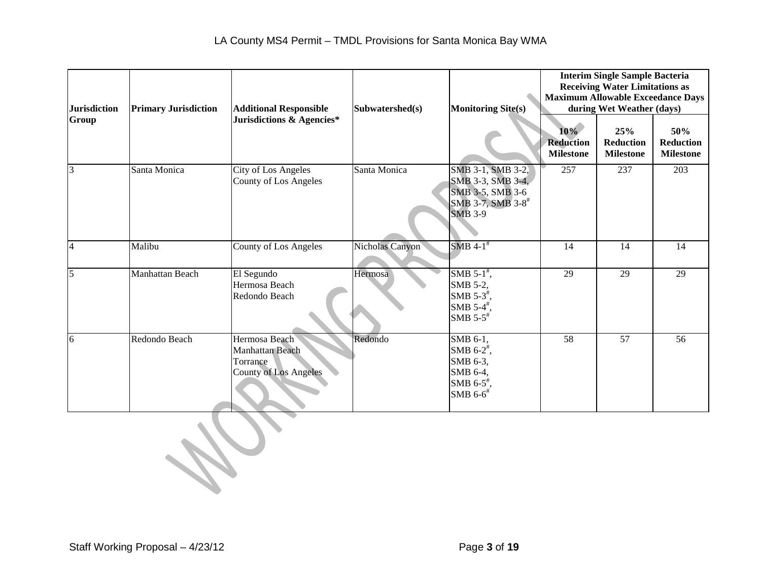| <b>Jurisdiction</b> | <b>Primary Jurisdiction</b> | <b>Additional Responsible</b>                                                | Subwatershed(s) | <b>Monitoring Site(s)</b>                                                                                                |                                                | <b>Interim Single Sample Bacteria</b><br><b>Receiving Water Limitations as</b><br><b>Maximum Allowable Exceedance Days</b><br>during Wet Weather (days) |                                             |
|---------------------|-----------------------------|------------------------------------------------------------------------------|-----------------|--------------------------------------------------------------------------------------------------------------------------|------------------------------------------------|---------------------------------------------------------------------------------------------------------------------------------------------------------|---------------------------------------------|
| Group               |                             | Jurisdictions & Agencies*                                                    |                 |                                                                                                                          | $10\%$<br><b>Reduction</b><br><b>Milestone</b> | 25%<br><b>Reduction</b><br><b>Milestone</b>                                                                                                             | 50%<br><b>Reduction</b><br><b>Milestone</b> |
| $\overline{3}$      | Santa Monica                | City of Los Angeles<br><b>County of Los Angeles</b>                          | Santa Monica    | SMB 3-1, SMB 3-2,<br>SMB 3-3, SMB 3-4,<br>SMB 3-5, SMB 3-6<br>SMB 3-7, SMB 3-8 <sup>#</sup><br><b>SMB 3-9</b>            | 257                                            | 237                                                                                                                                                     | 203                                         |
| $\overline{4}$      | Malibu                      | <b>County of Los Angeles</b>                                                 | Nicholas Canyon | SMB $4-1$ <sup>#</sup>                                                                                                   | 14                                             | 14                                                                                                                                                      | 14                                          |
| $\overline{5}$      | Manhattan Beach             | El Segundo<br>Hermosa Beach<br>Redondo Beach                                 | Hermosa         | SMB $5-1$ <sup>#</sup> ,<br>SMB 5-2,<br>SMB $5-3^{\frac{4}{7}}$ ,<br>SMB $5-4^{\frac{4}{7}}$ ,<br>SMB $5-5$ <sup>#</sup> | 29                                             | 29                                                                                                                                                      | 29                                          |
| 6                   | Redondo Beach               | Hermosa Beach<br>Manhattan Beach<br>Torrance<br><b>County of Los Angeles</b> | Redondo         | SMB 6-1,<br>SMB $6-2^{\frac{4}{7}}$ ,<br>SMB 6-3,<br>SMB 6-4,<br>SMB 6-5 <sup>#</sup> ,<br>SMB $6-6$ <sup>#</sup>        | $\overline{58}$                                | $\overline{57}$                                                                                                                                         | $\overline{56}$                             |
|                     |                             |                                                                              |                 |                                                                                                                          |                                                |                                                                                                                                                         |                                             |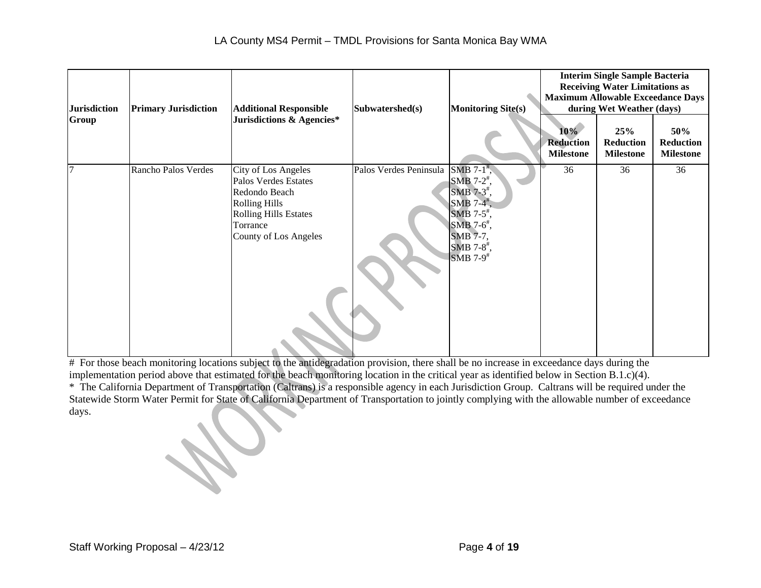| <b>Jurisdiction</b><br>Group | <b>Primary Jurisdiction</b> | <b>Additional Responsible</b><br>Jurisdictions & Agencies*                                                                                                       | Subwatershed(s)        | <b>Monitoring Site(s)</b>                                                                                                                                                                                                               | $10\%$<br><b>Reduction</b><br><b>Milestone</b> | <b>Interim Single Sample Bacteria</b><br><b>Receiving Water Limitations as</b><br><b>Maximum Allowable Exceedance Days</b><br>during Wet Weather (days)<br>25%<br><b>Reduction</b><br><b>Milestone</b> | 50%<br><b>Reduction</b><br><b>Milestone</b> |
|------------------------------|-----------------------------|------------------------------------------------------------------------------------------------------------------------------------------------------------------|------------------------|-----------------------------------------------------------------------------------------------------------------------------------------------------------------------------------------------------------------------------------------|------------------------------------------------|--------------------------------------------------------------------------------------------------------------------------------------------------------------------------------------------------------|---------------------------------------------|
|                              | Rancho Palos Verdes         | City of Los Angeles<br>Palos Verdes Estates<br>Redondo Beach<br><b>Rolling Hills</b><br><b>Rolling Hills Estates</b><br>Torrance<br><b>County of Los Angeles</b> | Palos Verdes Peninsula | SMB $7-1$ <sup>*</sup> ,<br>SMB $7-2^{\frac{\pi}{2}}$ ,<br>SMB $7-3$ <sup>#</sup> ,<br>SMB $7-4^{\frac{1}{2}}$ ,<br>SMB 7-5 <sup>#</sup> ,<br>SMB 7- $6$ <sup>*</sup> ,<br>SMB 7-7,<br>SMB 7-8 <sup>#</sup> ,<br>$SMB 7-9$ <sup>#</sup> | 36                                             | 36                                                                                                                                                                                                     | 36                                          |

# For those beach monitoring locations subject to the antidegradation provision, there shall be no increase in exceedance days during the implementation period above that estimated for the beach monitoring location in the critical year as identified below in Section B.1.c)(4).

\* The California Department of Transportation (Caltrans) is a responsible agency in each Jurisdiction Group. Caltrans will be required under the Statewide Storm Water Permit for State of California Department of Transportation to jointly complying with the allowable number of exceedance days.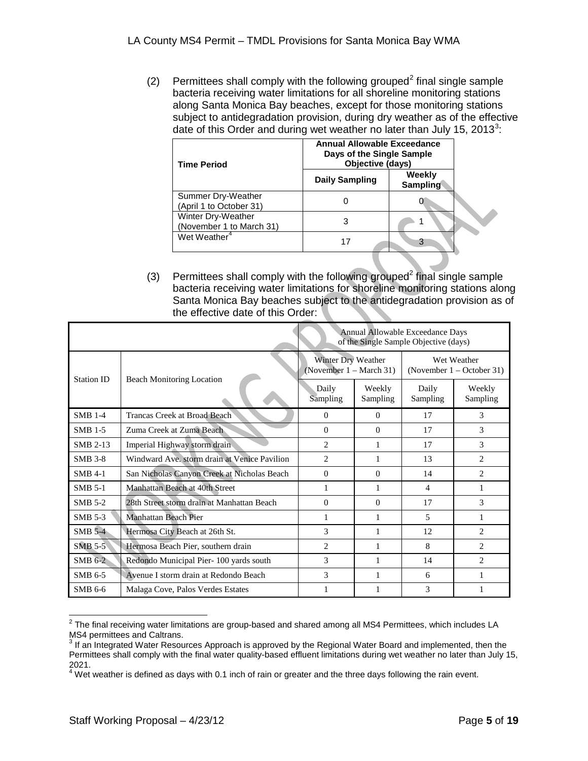([2](#page-0-1)) Permittees shall comply with the following grouped<sup>2</sup> final single sample bacteria receiving water limitations for all shoreline monitoring stations along Santa Monica Bay beaches, except for those monitoring stations subject to antidegradation provision, during dry weather as of the effective date of this Order and during wet weather no later than July 15, 201[3](#page-4-0)<sup>3</sup>:

| <b>Time Period</b>                             | Annual Allowable Exceedance<br>Days of the Single Sample<br>Objective (days) |                           |  |  |  |
|------------------------------------------------|------------------------------------------------------------------------------|---------------------------|--|--|--|
|                                                | <b>Daily Sampling</b>                                                        | Weekly<br><b>Sampling</b> |  |  |  |
| Summer Dry-Weather<br>(April 1 to October 31)  |                                                                              |                           |  |  |  |
| Winter Dry-Weather<br>(November 1 to March 31) |                                                                              |                           |  |  |  |
| Wet Weather <sup>4</sup>                       |                                                                              | З                         |  |  |  |

(3) Permittees shall comply with the following grouped<sup>2</sup> final single sample bacteria receiving water limitations for shoreline monitoring stations along Santa Monica Bay beaches subject to the antidegradation provision as of the effective date of this Order:

|                 |                                              |                                               |                    | Annual Allowable Exceedance Days<br>of the Single Sample Objective (days) |                               |
|-----------------|----------------------------------------------|-----------------------------------------------|--------------------|---------------------------------------------------------------------------|-------------------------------|
| Station ID      |                                              | Winter Dry Weather<br>(November 1 – March 31) |                    | Wet Weather<br>(November $1 -$ October 31)                                |                               |
|                 | <b>Beach Monitoring Location</b>             | Daily<br>Sampling                             | Weekly<br>Sampling | Daily<br>Sampling                                                         | Weekly<br>Sampling            |
| <b>SMB 1-4</b>  | Trancas Creek at Broad Beach                 | $\Omega$                                      | $\Omega$           | 17                                                                        | $\mathcal{F}$                 |
| <b>SMB 1-5</b>  | Zuma Creek at Zuma Beach                     | $\Omega$                                      | $\Omega$           | 17                                                                        | 3                             |
| <b>SMB 2-13</b> | Imperial Highway storm drain                 | $\overline{2}$                                | 1                  | 17                                                                        | 3                             |
| <b>SMB 3-8</b>  | Windward Ave. storm drain at Venice Pavilion | $\overline{c}$                                | 1                  | 13                                                                        | $\overline{c}$                |
| <b>SMB 4-1</b>  | San Nicholas Canyon Creek at Nicholas Beach  | $\Omega$                                      | $\Omega$           | 14                                                                        | $\mathcal{D}_{\mathcal{L}}$   |
| <b>SMB 5-1</b>  | Manhattan Beach at 40th Street               | 1                                             | 1                  | 4                                                                         | 1                             |
| <b>SMB 5-2</b>  | 28th Street storm drain at Manhattan Beach   | $\Omega$                                      | $\Omega$           | 17                                                                        | 3                             |
| <b>SMB 5-3</b>  | Manhattan Beach Pier                         | 1                                             | 1                  | 5                                                                         | 1                             |
| <b>SMB 5-4</b>  | Hermosa City Beach at 26th St.               | 3                                             | 1                  | 12                                                                        | $\mathcal{D}_{\mathcal{L}}$   |
| $SMB$ 5-5       | Hermosa Beach Pier, southern drain           | 2                                             | 1                  | 8                                                                         | $\mathfrak{D}$                |
| $SMB$ 6-2       | Redondo Municipal Pier-100 yards south       | 3                                             | 1                  | 14                                                                        | $\mathfrak{D}_{\mathfrak{p}}$ |
| SMB 6-5         | Avenue I storm drain at Redondo Beach        | 3                                             | 1                  | 6                                                                         | 1                             |
| SMB 6-6         | Malaga Cove, Palos Verdes Estates            | 1                                             | 1                  | 3                                                                         | 1                             |

 $2$  The final receiving water limitations are group-based and shared among all MS4 Permittees, which includes LA MS4 permittees and Caltrans.<br><sup>3</sup> If an Integrated Water Resources Approach is approved by the Regional Water Board and implemented, then the

<span id="page-4-2"></span><span id="page-4-0"></span>Permittees shall comply with the final water quality-based effluent limitations during wet weather no later than July 15, 2021.

<span id="page-4-1"></span> $^4$  Wet weather is defined as days with 0.1 inch of rain or greater and the three days following the rain event.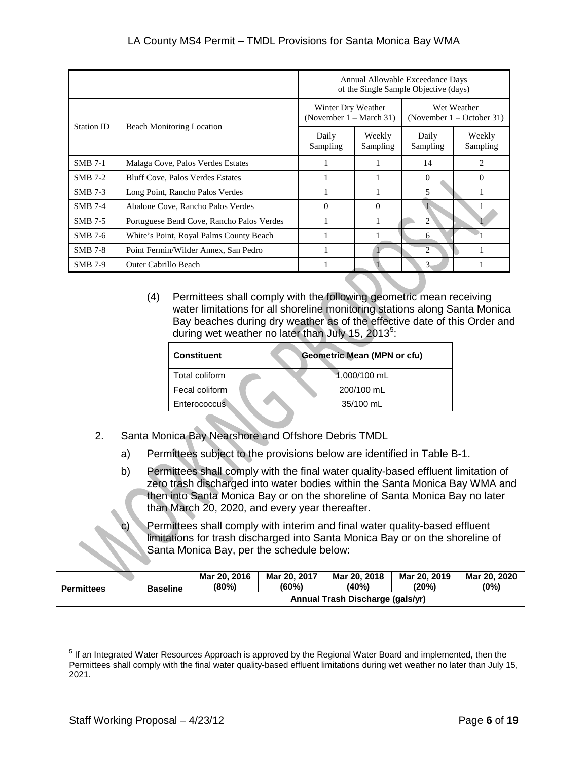|                |                                           |                                                          |                    | Annual Allowable Exceedance Days<br>of the Single Sample Objective (days) |                    |
|----------------|-------------------------------------------|----------------------------------------------------------|--------------------|---------------------------------------------------------------------------|--------------------|
| Station ID     |                                           | Winter Dry Weather<br>(November $1 - \text{March } 31$ ) |                    | Wet Weather<br>(November $1 -$ October 31)                                |                    |
|                | <b>Beach Monitoring Location</b>          | Daily<br>Sampling                                        | Weekly<br>Sampling | Daily<br>Sampling                                                         | Weekly<br>Sampling |
| $SMB$ 7-1      | Malaga Cove, Palos Verdes Estates         |                                                          |                    | 14                                                                        | 2                  |
| <b>SMB 7-2</b> | <b>Bluff Cove, Palos Verdes Estates</b>   |                                                          |                    | $\Omega$                                                                  | $\Omega$           |
| <b>SMB</b> 7-3 | Long Point, Rancho Palos Verdes           |                                                          |                    | 5                                                                         |                    |
| <b>SMB 7-4</b> | Abalone Cove, Rancho Palos Verdes         | $\Omega$                                                 | $\Omega$           |                                                                           | 1                  |
| SMB 7-5        | Portuguese Bend Cove, Rancho Palos Verdes |                                                          |                    | 2                                                                         |                    |
| SMB 7-6        | White's Point, Royal Palms County Beach   |                                                          |                    | 6                                                                         |                    |
| <b>SMB 7-8</b> | Point Fermin/Wilder Annex, San Pedro      |                                                          |                    | 2                                                                         |                    |
| <b>SMB 7-9</b> | Outer Cabrillo Beach                      |                                                          |                    | 3                                                                         |                    |

(4) Permittees shall comply with the following geometric mean receiving water limitations for all shoreline monitoring stations along Santa Monica Bay beaches during dry weather as of the effective date of this Order and during wet weather no later than July 1[5](#page-4-2), 2013<sup>5</sup>:

| <b>Constituent</b>  | <b>Geometric Mean (MPN or cfu)</b> |  |
|---------------------|------------------------------------|--|
| Total coliform      | 1,000/100 mL                       |  |
| Fecal coliform      | 200/100 mL                         |  |
| <b>Enterococcus</b> | 35/100 mL                          |  |
|                     |                                    |  |

- 2. Santa Monica Bay Nearshore and Offshore Debris TMDL
	- a) Permittees subject to the provisions below are identified in Table B-1.
	- b) Permittees shall comply with the final water quality-based effluent limitation of zero trash discharged into water bodies within the Santa Monica Bay WMA and then into Santa Monica Bay or on the shoreline of Santa Monica Bay no later than March 20, 2020, and every year thereafter.
	- Permittees shall comply with interim and final water quality-based effluent limitations for trash discharged into Santa Monica Bay or on the shoreline of Santa Monica Bay, per the schedule below:

| <b>Permittees</b> | <b>Baseline</b> | Mar 20, 2016<br>(80%)            | Mar 20, 2017<br>(60%) | Mar 20, 2018<br>(40%) | Mar 20, 2019<br>(20%) | Mar 20, 2020<br>$(0\%)$ |
|-------------------|-----------------|----------------------------------|-----------------------|-----------------------|-----------------------|-------------------------|
|                   |                 | Annual Trash Discharge (gals/yr) |                       |                       |                       |                         |

<span id="page-5-0"></span> <sup>5</sup> If an Integrated Water Resources Approach is approved by the Regional Water Board and implemented, then the Permittees shall comply with the final water quality-based effluent limitations during wet weather no later than July 15, 2021.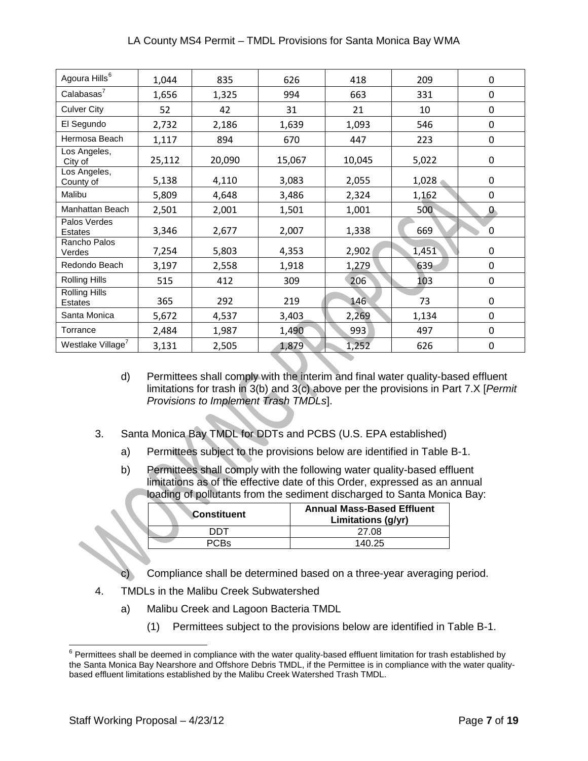| Agoura Hills <sup>6</sup>              | 1,044  | 835    | 626    | 418    | 209   | 0            |
|----------------------------------------|--------|--------|--------|--------|-------|--------------|
| Calabasas <sup>7</sup>                 | 1,656  | 1,325  | 994    | 663    | 331   | 0            |
| <b>Culver City</b>                     | 52     | 42     | 31     | 21     | 10    | 0            |
| El Segundo                             | 2,732  | 2,186  | 1,639  | 1,093  | 546   | 0            |
| Hermosa Beach                          | 1,117  | 894    | 670    | 447    | 223   | 0            |
| Los Angeles,<br>City of                | 25,112 | 20,090 | 15,067 | 10,045 | 5,022 | 0            |
| Los Angeles,<br>County of              | 5,138  | 4,110  | 3,083  | 2,055  | 1,028 | 0            |
| Malibu                                 | 5,809  | 4,648  | 3,486  | 2,324  | 1,162 | 0            |
| Manhattan Beach                        | 2,501  | 2,001  | 1,501  | 1,001  | 500   | $\mathbf{0}$ |
| Palos Verdes<br><b>Estates</b>         | 3,346  | 2,677  | 2,007  | 1,338  | 669   | 0            |
| Rancho Palos<br>Verdes                 | 7,254  | 5,803  | 4,353  | 2,902  | 1,451 | 0            |
| Redondo Beach                          | 3,197  | 2,558  | 1,918  | 1,279  | 639   | 0            |
| <b>Rolling Hills</b>                   | 515    | 412    | 309    | 206    | 103   | $\mathbf 0$  |
| <b>Rolling Hills</b><br><b>Estates</b> | 365    | 292    | 219    | 146    | 73    | 0            |
| Santa Monica                           | 5,672  | 4,537  | 3,403  | 2,269  | 1,134 | 0            |
| Torrance                               | 2,484  | 1,987  | 1,490  | 993    | 497   | 0            |
| Westlake Village <sup>7</sup>          | 3,131  | 2,505  | 1,879  | 1,252  | 626   | 0            |

- d) Permittees shall comply with the interim and final water quality-based effluent limitations for trash in 3(b) and 3(c) above per the provisions in Part 7.X [*Permit Provisions to Implement Trash TMDLs*].
- 3. Santa Monica Bay TMDL for DDTs and PCBS (U.S. EPA established)
	- a) Permittees subject to the provisions below are identified in Table B-1.
	- b) Permittees shall comply with the following water quality-based effluent limitations as of the effective date of this Order, expressed as an annual loading of pollutants from the sediment discharged to Santa Monica Bay:

| <b>Constituent</b> | <b>Annual Mass-Based Effluent</b><br>Limitations (g/yr) |
|--------------------|---------------------------------------------------------|
| דחח                | 27.08                                                   |
| PC.Bs              | 140 25                                                  |

- c) Compliance shall be determined based on a three-year averaging period.
- 4. TMDLs in the Malibu Creek Subwatershed
	- a) Malibu Creek and Lagoon Bacteria TMDL
		- (1) Permittees subject to the provisions below are identified in Table B-1.

<span id="page-6-0"></span> $6$  Permittees shall be deemed in compliance with the water quality-based effluent limitation for trash established by the Santa Monica Bay Nearshore and Offshore Debris TMDL, if the Permittee is in compliance with the water qualitybased effluent limitations established by the Malibu Creek Watershed Trash TMDL.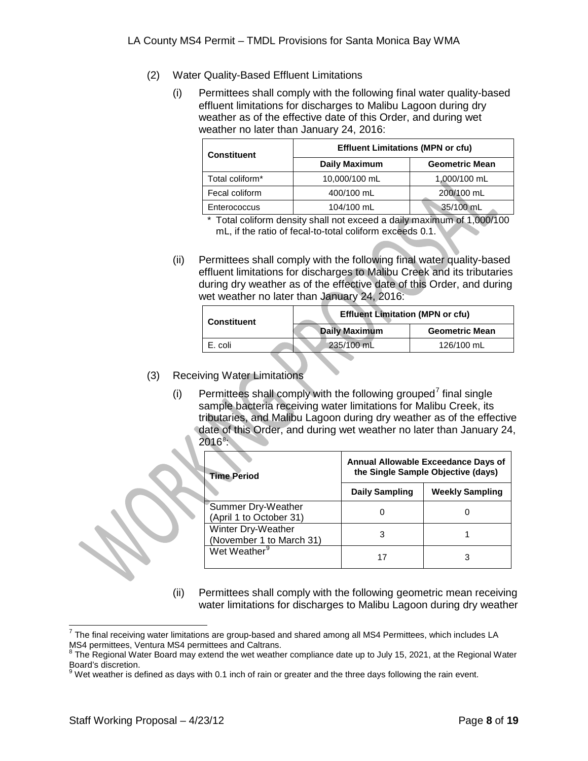- (2) Water Quality-Based Effluent Limitations
	- (i) Permittees shall comply with the following final water quality-based effluent limitations for discharges to Malibu Lagoon during dry weather as of the effective date of this Order, and during wet weather no later than January 24, 2016:

| <b>Constituent</b> | <b>Effluent Limitations (MPN or cfu)</b> |                       |  |  |
|--------------------|------------------------------------------|-----------------------|--|--|
|                    | <b>Daily Maximum</b>                     | <b>Geometric Mean</b> |  |  |
| Total coliform*    | 10,000/100 mL                            | 1,000/100 mL          |  |  |
| Fecal coliform     | 400/100 mL                               | 200/100 mL            |  |  |
| Enterococcus       | 104/100 mL                               | 35/100 mL             |  |  |

\* Total coliform density shall not exceed a daily maximum of 1,000/100 mL, if the ratio of fecal-to-total coliform exceeds 0.1.

(ii) Permittees shall comply with the following final water quality-based effluent limitations for discharges to Malibu Creek and its tributaries during dry weather as of the effective date of this Order, and during wet weather no later than January 24, 2016:

| <b>Constituent</b> |  | <b>Effluent Limitation (MPN or cfu)</b> |                       |  |
|--------------------|--|-----------------------------------------|-----------------------|--|
|                    |  | Daily Maximum                           | <b>Geometric Mean</b> |  |
| E. coli            |  | 235/100 mL                              | 126/100 mL            |  |

- (3) Receiving Water Limitations
	- (i) Permittees shall comply with the following grouped<sup>[7](#page-6-0)</sup> final single sample bacteria receiving water limitations for Malibu Creek, its tributaries, and Malibu Lagoon during dry weather as of the effective date of this Order, and during wet weather no later than January 24,  $2016^8$  $2016^8$ :

| <b>Time Period</b>                             | Annual Allowable Exceedance Days of<br>the Single Sample Objective (days) |                        |  |
|------------------------------------------------|---------------------------------------------------------------------------|------------------------|--|
|                                                | <b>Daily Sampling</b>                                                     | <b>Weekly Sampling</b> |  |
| Summer Dry-Weather<br>(April 1 to October 31)  |                                                                           |                        |  |
| Winter Dry-Weather<br>(November 1 to March 31) |                                                                           |                        |  |
| Wet Weather <sup>9</sup>                       |                                                                           |                        |  |

(ii) Permittees shall comply with the following geometric mean receiving water limitations for discharges to Malibu Lagoon during dry weather

<span id="page-7-2"></span> $7$  The final receiving water limitations are group-based and shared among all MS4 Permittees, which includes LA MS4 permittees, Ventura MS4 permittees and Caltrans.<br><sup>8</sup> The Regional Water Board may extend the wet weather compliance date up to July 15, 2021, at the Regional Water

<span id="page-7-0"></span>Board's discretion.

<span id="page-7-1"></span> $^9$  Wet weather is defined as days with 0.1 inch of rain or greater and the three days following the rain event.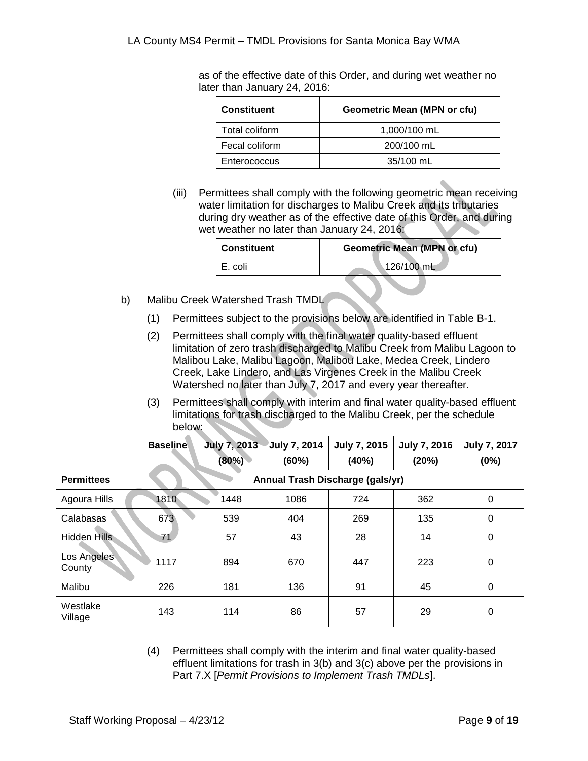as of the effective date of this Order, and during wet weather no later than January 24, 2016:

| <b>Constituent</b> | <b>Geometric Mean (MPN or cfu)</b> |
|--------------------|------------------------------------|
| Total coliform     | 1,000/100 mL                       |
| Fecal coliform     | 200/100 mL                         |
| Enterococcus       | 35/100 mL                          |

(iii) Permittees shall comply with the following geometric mean receiving water limitation for discharges to Malibu Creek and its tributaries during dry weather as of the effective date of this Order, and during wet weather no later than January 24, 2016:

| Constituent | <b>Geometric Mean (MPN or cfu)</b> |  |  |
|-------------|------------------------------------|--|--|
| I E. coli   | 126/100 mL                         |  |  |

- b) Malibu Creek Watershed Trash TMDL
	- (1) Permittees subject to the provisions below are identified in Table B-1.
	- (2) Permittees shall comply with the final water quality-based effluent limitation of zero trash discharged to Malibu Creek from Malibu Lagoon to Malibou Lake, Malibu Lagoon, Malibou Lake, Medea Creek, Lindero Creek, Lake Lindero, and Las Virgenes Creek in the Malibu Creek Watershed no later than July 7, 2017 and every year thereafter.
	- (3) Permittees shall comply with interim and final water quality-based effluent limitations for trash discharged to the Malibu Creek, per the schedule below:

|                       | <b>Baseline</b> | <b>July 7, 2013</b><br>(80%) | July 7, 2014<br>(60%) | <b>July 7, 2015</b><br>(40%)     | <b>July 7, 2016</b><br>(20%) | <b>July 7, 2017</b><br>(0%) |
|-----------------------|-----------------|------------------------------|-----------------------|----------------------------------|------------------------------|-----------------------------|
| <b>Permittees</b>     |                 |                              |                       | Annual Trash Discharge (gals/yr) |                              |                             |
| Agoura Hills          | 1810            | 1448                         | 1086                  | 724                              | 362                          | $\Omega$                    |
| Calabasas             | 673             | 539                          | 404                   | 269                              | 135                          | 0                           |
| Hidden Hills          | 71              | 57                           | 43                    | 28                               | 14                           | 0                           |
| Los Angeles<br>County | 1117            | 894                          | 670                   | 447                              | 223                          | 0                           |
| Malibu                | 226             | 181                          | 136                   | 91                               | 45                           | 0                           |
| Westlake<br>Village   | 143             | 114                          | 86                    | 57                               | 29                           | 0                           |

(4) Permittees shall comply with the interim and final water quality-based effluent limitations for trash in 3(b) and 3(c) above per the provisions in Part 7.X [*Permit Provisions to Implement Trash TMDLs*].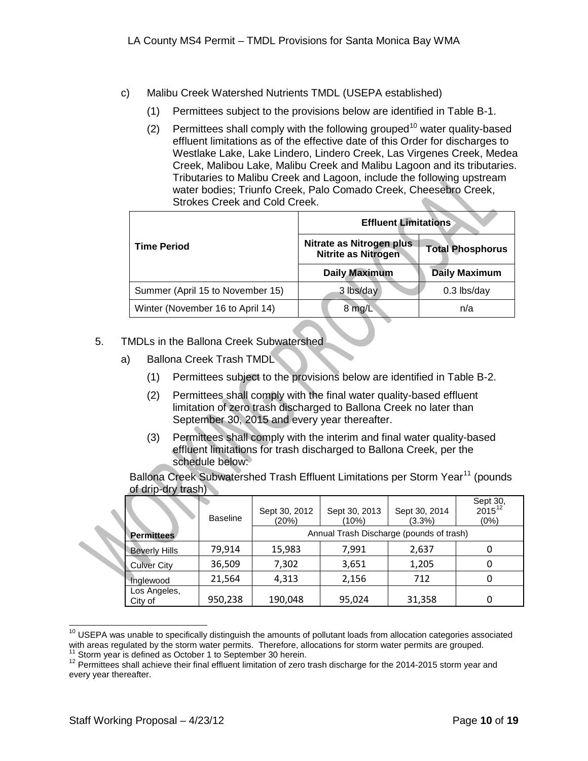- c) Malibu Creek Watershed Nutrients TMDL (USEPA established)
	- (1) Permittees subject to the provisions below are identified in Table B-1.
	- (2) Permittees shall comply with the following grouped<sup>[10](#page-7-2)</sup> water quality-based effluent limitations as of the effective date of this Order for discharges to Westlake Lake, Lake Lindero, Lindero Creek, Las Virgenes Creek, Medea Creek, Malibou Lake, Malibu Creek and Malibu Lagoon and its tributaries. Tributaries to Malibu Creek and Lagoon, include the following upstream water bodies; Triunfo Creek, Palo Comado Creek, Cheesebro Creek, Strokes Creek and Cold Creek.

|                                  | <b>Effluent Limitations</b>                            |                         |  |  |
|----------------------------------|--------------------------------------------------------|-------------------------|--|--|
| <b>Time Period</b>               | Nitrate as Nitrogen plus<br><b>Nitrite as Nitrogen</b> | <b>Total Phosphorus</b> |  |  |
|                                  | <b>Daily Maximum</b>                                   | <b>Daily Maximum</b>    |  |  |
| Summer (April 15 to November 15) | 3 lbs/day                                              | 0.3 lbs/day             |  |  |
| Winter (November 16 to April 14) | 8 mg/L                                                 | n/a                     |  |  |

- 5. TMDLs in the Ballona Creek Subwatershed
	- a) Ballona Creek Trash TMDL
		- (1) Permittees subject to the provisions below are identified in Table B-2.
		- (2) Permittees shall comply with the final water quality-based effluent limitation of zero trash discharged to Ballona Creek no later than September 30, 2015 and every year thereafter.
		- (3) Permittees shall comply with the interim and final water quality-based effluent limitations for trash discharged to Ballona Creek, per the schedule below:

Ballona Creek Subwatershed Trash Effluent Limitations per Storm Year<sup>[11](#page-9-0)</sup> (pounds of drip-dry trash)

|                         | <b>Baseline</b> | Sept 30, 2012<br>(20%) | Sept 30, 2013<br>(10%)                   | Sept 30, 2014<br>$(3.3\%)$ | Sept 30,<br>2015 <sup>12</sup><br>(0%) |
|-------------------------|-----------------|------------------------|------------------------------------------|----------------------------|----------------------------------------|
| <b>Permittees</b>       |                 |                        | Annual Trash Discharge (pounds of trash) |                            |                                        |
| <b>Beverly Hills</b>    | 79,914          | 15,983                 | 7,991                                    | 2,637                      | O                                      |
| <b>Culver City</b>      | 36,509          | 7,302                  | 3,651                                    | 1,205                      | O                                      |
| Inglewood               | 21,564          | 4,313                  | 2,156                                    | 712                        | 0                                      |
| Los Angeles,<br>City of | 950,238         | 190,048                | 95,024                                   | 31,358                     | 0                                      |

<span id="page-9-2"></span><sup>&</sup>lt;sup>10</sup> USEPA was unable to specifically distinguish the amounts of pollutant loads from allocation categories associated with areas regulated by the storm water permits. Therefore, allocations for storm water permits are grouped.<br><sup>11</sup> Storm year is defined as October 1 to September 30 herein.

<span id="page-9-1"></span><span id="page-9-0"></span> $12$  Permittees shall achieve their final effluent limitation of zero trash discharge for the 2014-2015 storm year and every year thereafter.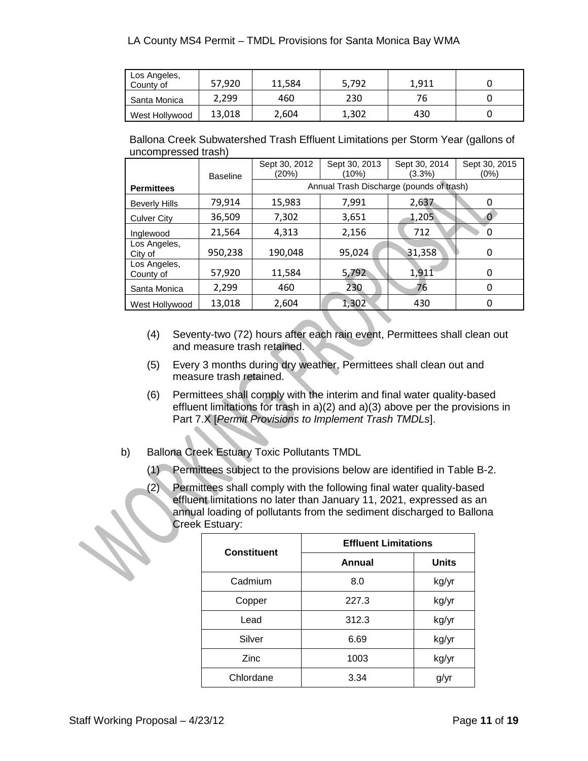| Los Angeles,<br>County of | 57,920 | 11,584 | 5,792 | 1.911 |  |
|---------------------------|--------|--------|-------|-------|--|
| Santa Monica              | 2,299  | 460    | 230   | 76    |  |
| West Hollywood            | 13,018 | 2,604  | 1,302 | 430   |  |

|                     | Ballona Creek Subwatershed Trash Effluent Limitations per Storm Year (gallons of |
|---------------------|----------------------------------------------------------------------------------|
| uncompressed trash) |                                                                                  |

|                           | <b>Baseline</b> | Sept 30, 2012<br>(20%) | Sept 30, 2013<br>(10%)                   | Sept 30, 2014<br>(3.3%) | Sept 30, 2015<br>$(0\%)$ |
|---------------------------|-----------------|------------------------|------------------------------------------|-------------------------|--------------------------|
| <b>Permittees</b>         |                 |                        | Annual Trash Discharge (pounds of trash) |                         |                          |
| <b>Beverly Hills</b>      | 79,914          | 15,983                 | 7,991                                    | 2,637                   | 0                        |
| <b>Culver City</b>        | 36,509          | 7,302                  | 3,651                                    | 1,205                   |                          |
| Inglewood                 | 21,564          | 4,313                  | 2,156                                    | 712                     | 0                        |
| Los Angeles,<br>City of   | 950,238         | 190,048                | 95,024                                   | 31,358                  | 0                        |
| Los Angeles,<br>County of | 57,920          | 11,584                 | 5,792                                    | 1,911                   | 0                        |
| Santa Monica              | 2,299           | 460                    | 230                                      | 76                      | O                        |
| West Hollywood            | 13,018          | 2,604                  | 1,302                                    | 430                     |                          |

- (4) Seventy-two (72) hours after each rain event, Permittees shall clean out and measure trash retained.
- (5) Every 3 months during dry weather, Permittees shall clean out and measure trash retained.
- (6) Permittees shall comply with the interim and final water quality-based effluent limitations for trash in a)(2) and a)(3) above per the provisions in Part 7.X [*Permit Provisions to Implement Trash TMDLs*].
- b) Ballona Creek Estuary Toxic Pollutants TMDL
	- (1) Permittees subject to the provisions below are identified in Table B-2.
	- (2) Permittees shall comply with the following final water quality-based effluent limitations no later than January 11, 2021, expressed as an annual loading of pollutants from the sediment discharged to Ballona Creek Estuary:

| <b>Constituent</b> | <b>Effluent Limitations</b> |              |  |  |
|--------------------|-----------------------------|--------------|--|--|
|                    | Annual                      | <b>Units</b> |  |  |
| Cadmium            | 8.0                         | kg/yr        |  |  |
| Copper             | 227.3                       | kg/yr        |  |  |
| Lead               | 312.3                       | kg/yr        |  |  |
| Silver             | 6.69                        | kg/yr        |  |  |
| Zinc               | 1003                        | kg/yr        |  |  |
| Chlordane          | 3.34                        | g/yr         |  |  |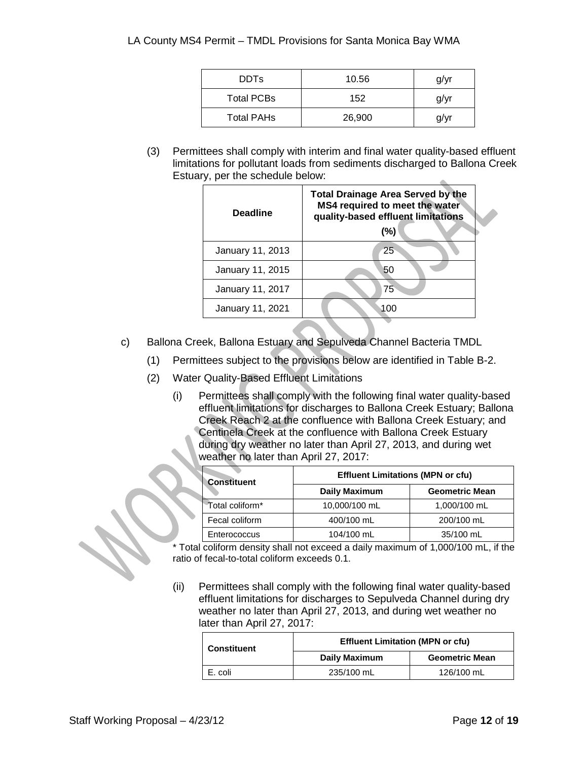| <b>DDTs</b>       | 10.56  | g/yr |
|-------------------|--------|------|
| <b>Total PCBs</b> | 152    | g/yr |
| <b>Total PAHs</b> | 26,900 | q/vr |

(3) Permittees shall comply with interim and final water quality-based effluent limitations for pollutant loads from sediments discharged to Ballona Creek Estuary, per the schedule below:  $\Delta$ 

| <b>Deadline</b>  | <b>Total Drainage Area Served by the</b><br>MS4 required to meet the water<br>quality-based effluent limitations<br>(%) |
|------------------|-------------------------------------------------------------------------------------------------------------------------|
| January 11, 2013 | $25^{\circ}$                                                                                                            |
| January 11, 2015 | 50                                                                                                                      |
| January 11, 2017 | 75                                                                                                                      |
| January 11, 2021 | 100                                                                                                                     |

- c) Ballona Creek, Ballona Estuary and Sepulveda Channel Bacteria TMDL
	- (1) Permittees subject to the provisions below are identified in Table B-2.
	- (2) Water Quality-Based Effluent Limitations
		- (i) Permittees shall comply with the following final water quality-based effluent limitations for discharges to Ballona Creek Estuary; Ballona Creek Reach 2 at the confluence with Ballona Creek Estuary; and Centinela Creek at the confluence with Ballona Creek Estuary during dry weather no later than April 27, 2013, and during wet weather no later than April 27, 2017:

| <b>Constituent</b> | <b>Effluent Limitations (MPN or cfu)</b> |                       |
|--------------------|------------------------------------------|-----------------------|
|                    | <b>Daily Maximum</b>                     | <b>Geometric Mean</b> |
| "Total coliform"   | 10,000/100 mL                            | 1,000/100 mL          |
| Fecal coliform     | 400/100 mL                               | 200/100 mL            |
| Enterococcus       | 104/100 mL                               | 35/100 mL             |

\* Total coliform density shall not exceed a daily maximum of 1,000/100 mL, if the ratio of fecal-to-total coliform exceeds 0.1.

(ii) Permittees shall comply with the following final water quality-based effluent limitations for discharges to Sepulveda Channel during dry weather no later than April 27, 2013, and during wet weather no later than April 27, 2017:

| <b>Constituent</b> | <b>Effluent Limitation (MPN or cfu)</b><br><b>Daily Maximum</b><br><b>Geometric Mean</b> |            |
|--------------------|------------------------------------------------------------------------------------------|------------|
|                    |                                                                                          |            |
| E. coli            | 235/100 mL                                                                               | 126/100 mL |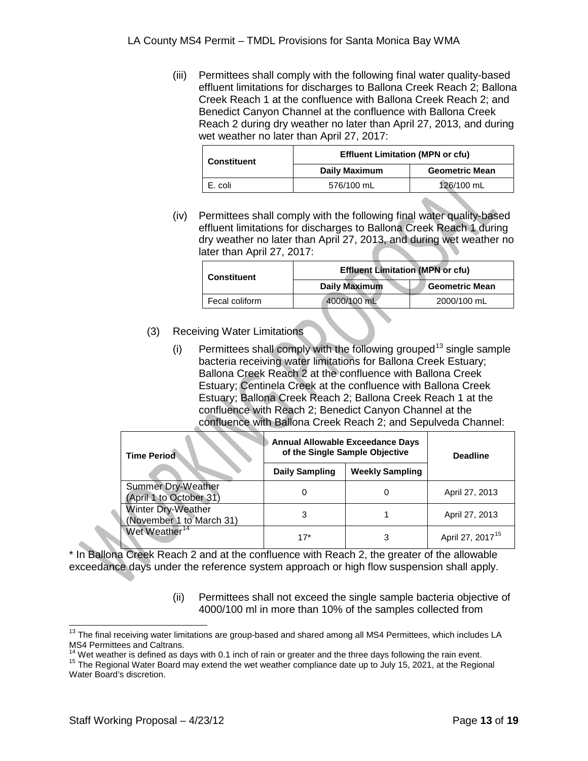(iii) Permittees shall comply with the following final water quality-based effluent limitations for discharges to Ballona Creek Reach 2; Ballona Creek Reach 1 at the confluence with Ballona Creek Reach 2; and Benedict Canyon Channel at the confluence with Ballona Creek Reach 2 during dry weather no later than April 27, 2013, and during wet weather no later than April 27, 2017:

| <b>Constituent</b> | <b>Effluent Limitation (MPN or cfu)</b><br><b>Daily Maximum</b><br><b>Geometric Mean</b> |            |
|--------------------|------------------------------------------------------------------------------------------|------------|
|                    |                                                                                          |            |
| E. coli            | 576/100 mL                                                                               | 126/100 mL |

(iv) Permittees shall comply with the following final water quality-based effluent limitations for discharges to Ballona Creek Reach 1 during dry weather no later than April 27, 2013, and during wet weather no later than April 27, 2017:

| <b>Constituent</b> | <b>Effluent Limitation (MPN or cfu)</b><br>Daily Maximum<br><b>Geometric Mean</b> |             |
|--------------------|-----------------------------------------------------------------------------------|-------------|
|                    |                                                                                   |             |
| Fecal coliform     | 4000/100 mL                                                                       | 2000/100 mL |

- (3) Receiving Water Limitations
	- $(i)$  Permittees shall comply with the following grouped<sup>[13](#page-9-2)</sup> single sample bacteria receiving water limitations for Ballona Creek Estuary; Ballona Creek Reach 2 at the confluence with Ballona Creek Estuary; Centinela Creek at the confluence with Ballona Creek Estuary; Ballona Creek Reach 2; Ballona Creek Reach 1 at the confluence with Reach 2; Benedict Canyon Channel at the confluence with Ballona Creek Reach 2; and Sepulveda Channel:

| <b>Time Period</b>                                   | <b>Annual Allowable Exceedance Days</b><br>of the Single Sample Objective |                        | <b>Deadline</b>              |
|------------------------------------------------------|---------------------------------------------------------------------------|------------------------|------------------------------|
|                                                      | <b>Daily Sampling</b>                                                     | <b>Weekly Sampling</b> |                              |
| <b>Summer Dry-Weather</b><br>(April 1 to October 31) |                                                                           | 0                      | April 27, 2013               |
| Winter Dry-Weather<br>(November 1 to March 31)       |                                                                           |                        | April 27, 2013               |
| Wet Weather <sup>14</sup>                            | $17*$                                                                     | 3                      | April 27, 2017 <sup>15</sup> |

\* In Ballona Creek Reach 2 and at the confluence with Reach 2, the greater of the allowable exceedance days under the reference system approach or high flow suspension shall apply.

> (ii) Permittees shall not exceed the single sample bacteria objective of 4000/100 ml in more than 10% of the samples collected from

<sup>&</sup>lt;sup>13</sup> The final receiving water limitations are group-based and shared among all MS4 Permittees, which includes LA MS4 Permittees and Caltrans.<br><sup>14</sup> Wet weather is defined as days with 0.1 inch of rain or greater and the three days following the rain event.<br><sup>15</sup> The Regional Water Board may extend the wet weather compliance date up to

<span id="page-12-1"></span><span id="page-12-0"></span>Water Board's discretion.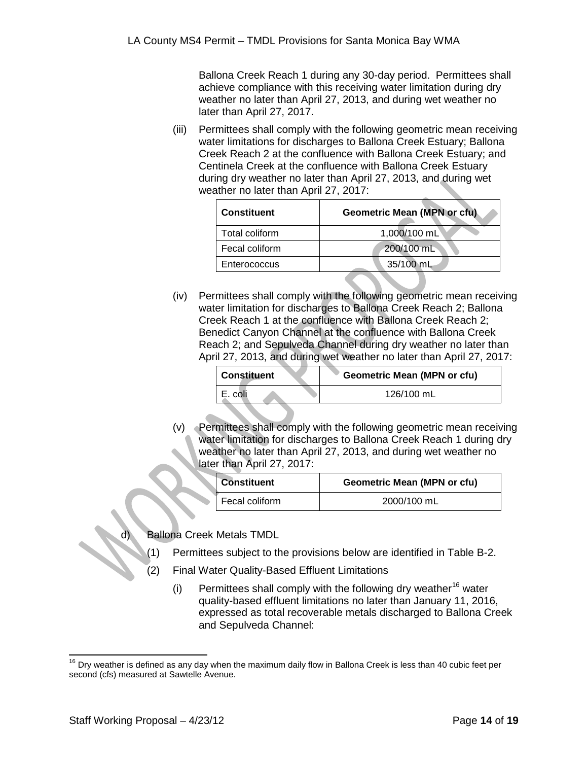Ballona Creek Reach 1 during any 30-day period. Permittees shall achieve compliance with this receiving water limitation during dry weather no later than April 27, 2013, and during wet weather no later than April 27, 2017.

(iii) Permittees shall comply with the following geometric mean receiving water limitations for discharges to Ballona Creek Estuary; Ballona Creek Reach 2 at the confluence with Ballona Creek Estuary; and Centinela Creek at the confluence with Ballona Creek Estuary during dry weather no later than April 27, 2013, and during wet weather no later than April 27, 2017:

| <b>Constituent</b> | <b>Geometric Mean (MPN or cfu)</b> |
|--------------------|------------------------------------|
| Total coliform     | 1,000/100 mL                       |
| Fecal coliform     | 200/100 mL                         |
| Enterococcus       | 35/100 mL                          |

(iv) Permittees shall comply with the following geometric mean receiving water limitation for discharges to Ballona Creek Reach 2; Ballona Creek Reach 1 at the confluence with Ballona Creek Reach 2; Benedict Canyon Channel at the confluence with Ballona Creek Reach 2; and Sepulveda Channel during dry weather no later than April 27, 2013, and during wet weather no later than April 27, 2017:

| <b>Constituent</b> | <b>Geometric Mean (MPN or cfu)</b> |
|--------------------|------------------------------------|
| E. coli            | 126/100 mL                         |

(v) Permittees shall comply with the following geometric mean receiving water limitation for discharges to Ballona Creek Reach 1 during dry weather no later than April 27, 2013, and during wet weather no later than April 27, 2017:

| <b>Constituent</b> | <b>Geometric Mean (MPN or cfu)</b> |
|--------------------|------------------------------------|
| Fecal coliform     | 2000/100 mL                        |

**Ballona Creek Metals TMDL** 

- (1) Permittees subject to the provisions below are identified in Table B-2.
- (2) Final Water Quality-Based Effluent Limitations
	- (i) Permittees shall comply with the following dry weather<sup>[16](#page-12-1)</sup> water quality-based effluent limitations no later than January 11, 2016, expressed as total recoverable metals discharged to Ballona Creek and Sepulveda Channel:

<span id="page-13-0"></span> $16$  Dry weather is defined as any day when the maximum daily flow in Ballona Creek is less than 40 cubic feet per second (cfs) measured at Sawtelle Avenue.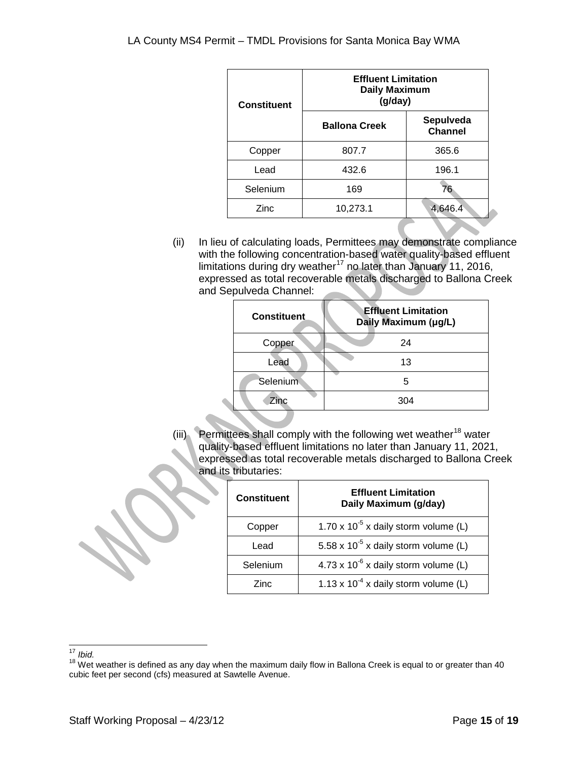| <b>Constituent</b> | <b>Effluent Limitation</b><br><b>Daily Maximum</b><br>(g/day) |                             |
|--------------------|---------------------------------------------------------------|-----------------------------|
|                    | <b>Ballona Creek</b>                                          | Sepulveda<br><b>Channel</b> |
| Copper             | 807.7                                                         | 365.6                       |
| Lead               | 432.6                                                         | 196.1                       |
| Selenium           | 169                                                           | 76                          |
| Zinc               | 10,273.1                                                      | 4,646.4                     |

(ii) In lieu of calculating loads, Permittees may demonstrate compliance with the following concentration-based water quality-based effluent limitations during dry weather<sup>[17](#page-13-0)</sup> no later than January 11, 2016, expressed as total recoverable metals discharged to Ballona Creek and Sepulveda Channel:

| <b>Constituent</b> | <b>Effluent Limitation</b><br>Daily Maximum (µg/L) |
|--------------------|----------------------------------------------------|
| Copper             | 24                                                 |
| Lead               | 13                                                 |
| Selenium           | 5                                                  |
| Zinc               | 304                                                |

(iii) Permittees shall comply with the following wet weather<sup>[18](#page-14-0)</sup> water quality-based effluent limitations no later than January 11, 2021, expressed as total recoverable metals discharged to Ballona Creek and its tributaries:

| <b>Constituent</b> | <b>Effluent Limitation</b><br>Daily Maximum (g/day) |
|--------------------|-----------------------------------------------------|
| Copper             | 1.70 x $10^{-5}$ x daily storm volume (L)           |
| Lead               | 5.58 x $10^{-5}$ x daily storm volume (L)           |
| Selenium           | $4.73 \times 10^{-6}$ x daily storm volume (L)      |
| Zinc               | 1.13 x $10^{-4}$ x daily storm volume (L)           |

<span id="page-14-1"></span><span id="page-14-0"></span><sup>&</sup>lt;sup>17</sup> *Ibid.*<br><sup>18</sup> Wet weather is defined as any day when the maximum daily flow in Ballona Creek is equal to or greater than 40 cubic feet per second (cfs) measured at Sawtelle Avenue.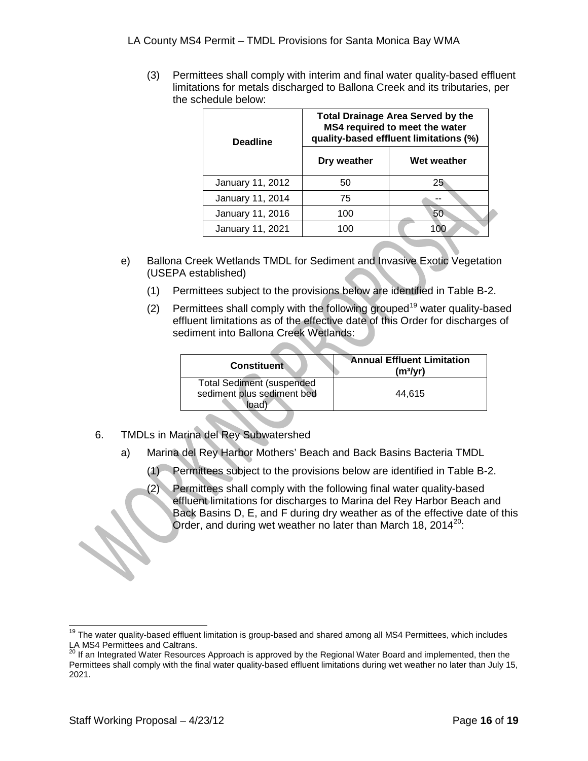(3) Permittees shall comply with interim and final water quality-based effluent limitations for metals discharged to Ballona Creek and its tributaries, per the schedule below:

| <b>Deadline</b>  |             | <b>Total Drainage Area Served by the</b><br>MS4 required to meet the water<br>quality-based effluent limitations (%) |
|------------------|-------------|----------------------------------------------------------------------------------------------------------------------|
|                  | Dry weather | Wet weather                                                                                                          |
| January 11, 2012 | 50          | 25                                                                                                                   |
| January 11, 2014 | 75          |                                                                                                                      |
| January 11, 2016 | 100         | 50                                                                                                                   |
| January 11, 2021 | 100         |                                                                                                                      |

- e) Ballona Creek Wetlands TMDL for Sediment and Invasive Exotic Vegetation (USEPA established)
	- (1) Permittees subject to the provisions below are identified in Table B-2.
	- (2) Permittees shall comply with the following grouped<sup>[19](#page-14-1)</sup> water quality-based effluent limitations as of the effective date of this Order for discharges of sediment into Ballona Creek Wetlands:

| <b>Constituent</b>                                                     | <b>Annual Effluent Limitation</b><br>(m <sup>3</sup> /yr) |
|------------------------------------------------------------------------|-----------------------------------------------------------|
| <b>Total Sediment (suspended</b><br>sediment plus sediment bed<br>load | 44.615                                                    |

- 6. TMDLs in Marina del Rey Subwatershed
	- a) Marina del Rey Harbor Mothers' Beach and Back Basins Bacteria TMDL
		- (1) Permittees subject to the provisions below are identified in Table B-2.
		- (2) Permittees shall comply with the following final water quality-based effluent limitations for discharges to Marina del Rey Harbor Beach and Back Basins D, E, and F during dry weather as of the effective date of this Order, and during wet weather no later than March 18, [20](#page-15-0)14 $^{20}$ :

<span id="page-15-1"></span> $19$  The water quality-based effluent limitation is group-based and shared among all MS4 Permittees, which includes LA MS4 Permittees and Caltrans.<br><sup>20</sup> If an Integrated Water Resources Approach is approved by the Regional Water Board and implemented, then the

<span id="page-15-0"></span>Permittees shall comply with the final water quality-based effluent limitations during wet weather no later than July 15, 2021.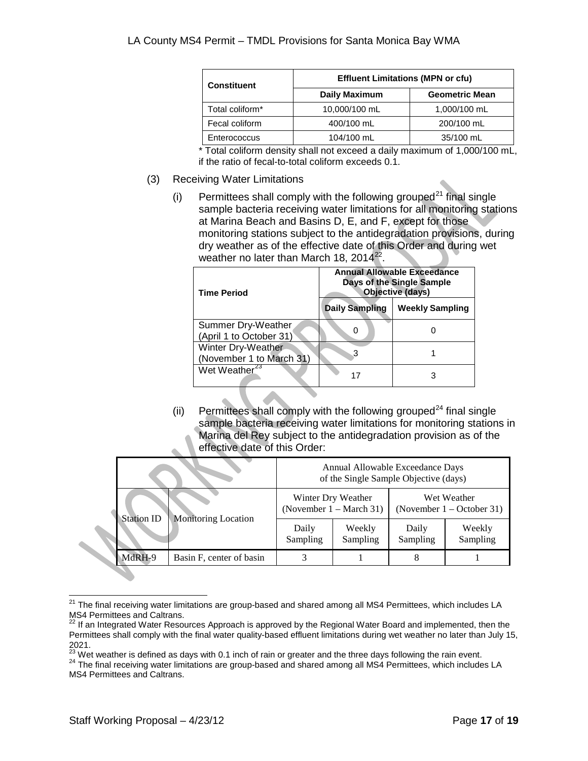| <b>Constituent</b> | <b>Effluent Limitations (MPN or cfu)</b> |                       |  |
|--------------------|------------------------------------------|-----------------------|--|
|                    | <b>Daily Maximum</b>                     | <b>Geometric Mean</b> |  |
| Total coliform*    | 10,000/100 mL                            | 1,000/100 mL          |  |
| Fecal coliform     | 400/100 mL                               | 200/100 mL            |  |
| Enterococcus       | 104/100 mL                               | 35/100 mL             |  |

\* Total coliform density shall not exceed a daily maximum of 1,000/100 mL, if the ratio of fecal-to-total coliform exceeds 0.1.

- (3) Receiving Water Limitations
	- (i) Permittees shall comply with the following grouped<sup>[21](#page-15-1)</sup> final single sample bacteria receiving water limitations for all monitoring stations at Marina Beach and Basins D, E, and F, except for those monitoring stations subject to the antidegradation provisions, during dry weather as of the effective date of this Order and during wet weather no later than March 18,  $2014^{22}$  $2014^{22}$  $2014^{22}$ .

| <b>Time Period</b>                                   |                       | Annual Allowable Exceedance<br>Days of the Single Sample<br>Objective (days) |
|------------------------------------------------------|-----------------------|------------------------------------------------------------------------------|
|                                                      | <b>Daily Sampling</b> | <b>Weekly Sampling</b>                                                       |
| <b>Summer Dry-Weather</b><br>(April 1 to October 31) |                       |                                                                              |
| Winter Dry-Weather<br>(November 1 to March 31)       | 3                     |                                                                              |
| Wet Weather <sup>23</sup>                            |                       | З                                                                            |

(ii) Permittees shall comply with the following grouped<sup>[24](#page-16-2)</sup> final single sample bacteria receiving water limitations for monitoring stations in Marina del Rey subject to the antidegradation provision as of the effective date of this Order:

|  |                                                 |                          |                                                          | Annual Allowable Exceedance Days<br>of the Single Sample Objective (days) |                                            |                    |
|--|-------------------------------------------------|--------------------------|----------------------------------------------------------|---------------------------------------------------------------------------|--------------------------------------------|--------------------|
|  | <b>Station ID</b><br><b>Monitoring Location</b> |                          | Winter Dry Weather<br>(November $1 - \text{March } 31$ ) |                                                                           | Wet Weather<br>(November $1 -$ October 31) |                    |
|  |                                                 |                          | Daily<br>Sampling                                        | Weekly<br>Sampling                                                        | Daily<br>Sampling                          | Weekly<br>Sampling |
|  | MdRH-9                                          | Basin F, center of basin |                                                          |                                                                           |                                            |                    |

<sup>&</sup>lt;sup>21</sup> The final receiving water limitations are group-based and shared among all MS4 Permittees, which includes LA MS4 Permittees and Caltrans.

<span id="page-16-3"></span><span id="page-16-0"></span>If an Integrated Water Resources Approach is approved by the Regional Water Board and implemented, then the Permittees shall comply with the final water quality-based effluent limitations during wet weather no later than July 15, 2021.

<span id="page-16-2"></span>

<span id="page-16-1"></span> $^{23}$  Wet weather is defined as days with 0.1 inch of rain or greater and the three days following the rain event.<br><sup>24</sup> The final receiving water limitations are group-based and shared among all MS4 Permittees, which inc MS4 Permittees and Caltrans.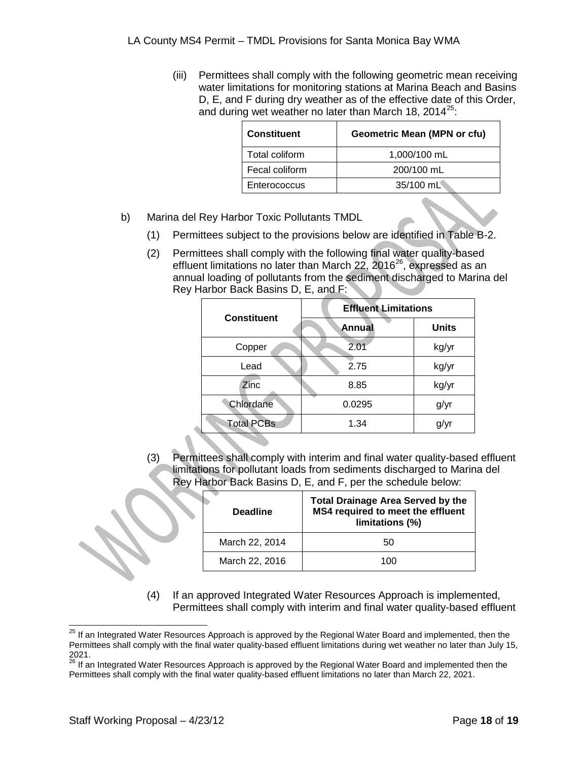(iii) Permittees shall comply with the following geometric mean receiving water limitations for monitoring stations at Marina Beach and Basins D, E, and F during dry weather as of the effective date of this Order, and during wet weather no later than March 18, 2014 $^{25}$  $^{25}$  $^{25}$ :

| <b>Constituent</b> | <b>Geometric Mean (MPN or cfu)</b> |
|--------------------|------------------------------------|
| Total coliform     | 1,000/100 mL                       |
| Fecal coliform     | 200/100 mL                         |
| Enterococcus       | 35/100 mL                          |

- b) Marina del Rey Harbor Toxic Pollutants TMDL
	- (1) Permittees subject to the provisions below are identified in Table B-2.
	- (2) Permittees shall comply with the following final water quality-based effluent limitations no later than March 22, 2016 $^{26}$ , expressed as an annual loading of pollutants from the sediment discharged to Marina del Rey Harbor Back Basins D, E, and F:

| <b>Effluent Limitations</b> |              |  |
|-----------------------------|--------------|--|
| Annual                      | <b>Units</b> |  |
| 2.01                        | kg/yr        |  |
| 2.75                        | kg/yr        |  |
| 8.85                        | kg/yr        |  |
| 0.0295                      | g/yr         |  |
| 1.34                        | g/yr         |  |
|                             |              |  |

(3) Permittees shall comply with interim and final water quality-based effluent limitations for pollutant loads from sediments discharged to Marina del Rey Harbor Back Basins D, E, and F, per the schedule below:

| <b>Deadline</b> | <b>Total Drainage Area Served by the</b><br>MS4 required to meet the effluent<br>limitations (%) |
|-----------------|--------------------------------------------------------------------------------------------------|
| March 22, 2014  | 50                                                                                               |
| March 22, 2016  | 100                                                                                              |

(4) If an approved Integrated Water Resources Approach is implemented, Permittees shall comply with interim and final water quality-based effluent

<sup>&</sup>lt;sup>25</sup> If an Integrated Water Resources Approach is approved by the Regional Water Board and implemented, then the Permittees shall comply with the final water quality-based effluent limitations during wet weather no later than July 15, 2021.

<span id="page-17-0"></span><sup>&</sup>lt;sup>26</sup> If an Integrated Water Resources Approach is approved by the Regional Water Board and implemented then the Permittees shall comply with the final water quality-based effluent limitations no later than March 22, 2021.